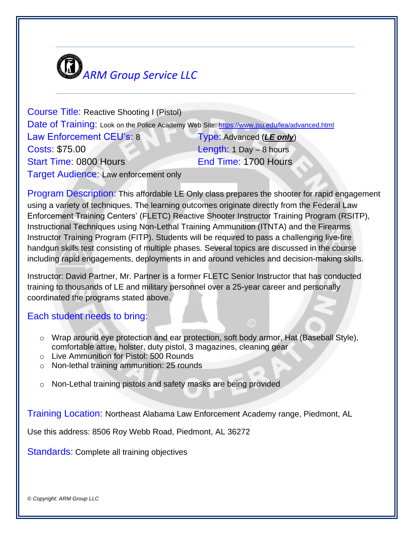

Course Title: Reactive Shooting I (Pistol) Date of Training: Look on the Police Academy Web Site: <https://www.jsu.edu/lea/advanced.html> Law Enforcement CEU's: 8 Type: Advanced (*LE only*) Costs: \$75.00 Length: 1 Day – 8 hours Start Time: 0800 Hours End Time: 1700 Hours **Target Audience: Law enforcement only** 

Program Description: This affordable LE Only class prepares the shooter for rapid engagement using a variety of techniques. The learning outcomes originate directly from the Federal Law Enforcement Training Centers' (FLETC) Reactive Shooter Instructor Training Program (RSITP), Instructional Techniques using Non-Lethal Training Ammunition (ITNTA) and the Firearms Instructor Training Program (FITP). Students will be required to pass a challenging live-fire handgun skills test consisting of multiple phases. Several topics are discussed in the course including rapid engagements, deployments in and around vehicles and decision-making skills.

Instructor: David Partner, Mr. Partner is a former FLETC Senior Instructor that has conducted training to thousands of LE and military personnel over a 25-year career and personally coordinated the programs stated above.

## Each student needs to bring:

- o Wrap around eye protection and ear protection, soft body armor, Hat (Baseball Style), comfortable attire, holster, duty pistol, 3 magazines, cleaning gear
- o Live Ammunition for Pistol: 500 Rounds
- o Non-lethal training ammunition: 25 rounds
- o Non-Lethal training pistols and safety masks are being provided

Training Location: Northeast Alabama Law Enforcement Academy range, Piedmont, AL

Use this address: 8506 Roy Webb Road, Piedmont, AL 36272

Standards: Complete all training objectives